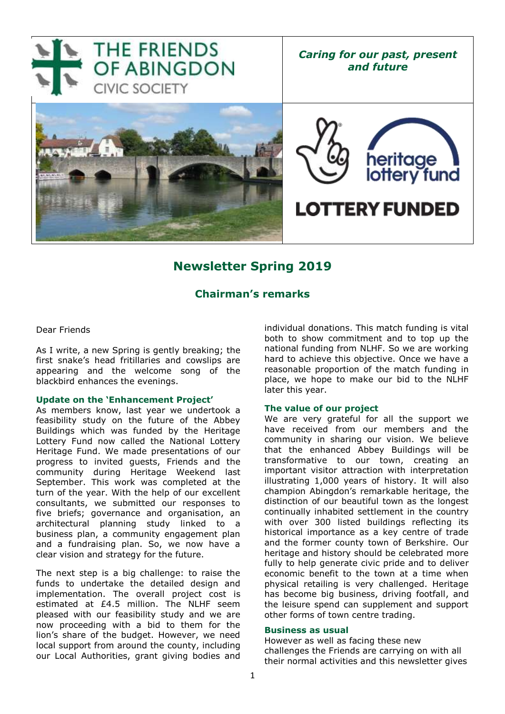

# **Newsletter Spring 2019**

# **Chairman's remarks**

Dear Friends

As I write, a new Spring is gently breaking; the first snake's head fritillaries and cowslips are appearing and the welcome song of the blackbird enhances the evenings.

### **Update on the 'Enhancement Project'**

As members know, last year we undertook a feasibility study on the future of the Abbey Buildings which was funded by the Heritage Lottery Fund now called the National Lottery Heritage Fund. We made presentations of our progress to invited guests, Friends and the community during Heritage Weekend last September. This work was completed at the turn of the year. With the help of our excellent consultants, we submitted our responses to five briefs; governance and organisation, an architectural planning study linked to a business plan, a community engagement plan and a fundraising plan. So, we now have a clear vision and strategy for the future.

The next step is a big challenge: to raise the funds to undertake the detailed design and implementation. The overall project cost is estimated at £4.5 million. The NLHF seem pleased with our feasibility study and we are now proceeding with a bid to them for the lion's share of the budget. However, we need local support from around the county, including our Local Authorities, grant giving bodies and individual donations. This match funding is vital both to show commitment and to top up the national funding from NLHF. So we are working hard to achieve this objective. Once we have a reasonable proportion of the match funding in place, we hope to make our bid to the NLHF later this year.

#### **The value of our project**

We are very grateful for all the support we have received from our members and the community in sharing our vision. We believe that the enhanced Abbey Buildings will be transformative to our town, creating an important visitor attraction with interpretation illustrating 1,000 years of history. It will also champion Abingdon's remarkable heritage, the distinction of our beautiful town as the longest continually inhabited settlement in the country with over 300 listed buildings reflecting its historical importance as a key centre of trade and the former county town of Berkshire. Our heritage and history should be celebrated more fully to help generate civic pride and to deliver economic benefit to the town at a time when physical retailing is very challenged. Heritage has become big business, driving footfall, and the leisure spend can supplement and support other forms of town centre trading.

#### **Business as usual**

However as well as facing these new challenges the Friends are carrying on with all their normal activities and this newsletter gives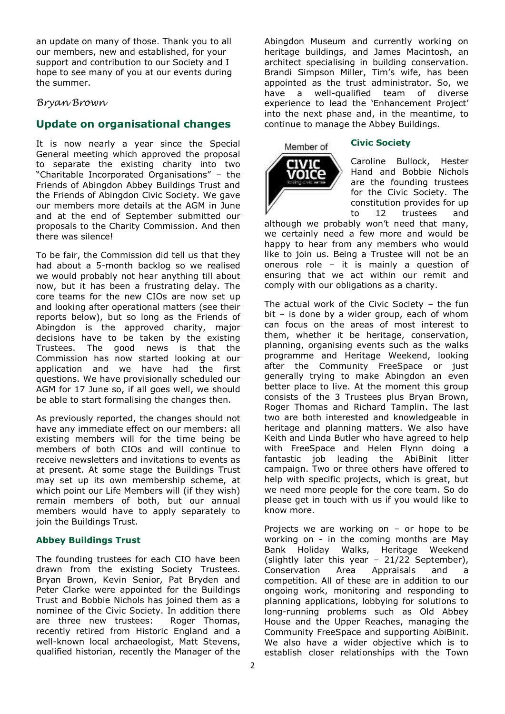an update on many of those. Thank you to all our members, new and established, for your support and contribution to our Society and I hope to see many of you at our events during the summer.

### *Bryan Brown*

### **Update on organisational changes**

It is now nearly a year since the Special General meeting which approved the proposal to separate the existing charity into two "Charitable Incorporated Organisations" – the Friends of Abingdon Abbey Buildings Trust and the Friends of Abingdon Civic Society. We gave our members more details at the AGM in June and at the end of September submitted our proposals to the Charity Commission. And then there was silence!

To be fair, the Commission did tell us that they had about a 5-month backlog so we realised we would probably not hear anything till about now, but it has been a frustrating delay. The core teams for the new CIOs are now set up and looking after operational matters (see their reports below), but so long as the Friends of Abingdon is the approved charity, major decisions have to be taken by the existing Trustees. The good news is that the Commission has now started looking at our application and we have had the first questions. We have provisionally scheduled our AGM for 17 June so, if all goes well, we should be able to start formalising the changes then.

As previously reported, the changes should not have any immediate effect on our members: all existing members will for the time being be members of both CIOs and will continue to receive newsletters and invitations to events as at present. At some stage the Buildings Trust may set up its own membership scheme, at which point our Life Members will (if they wish) remain members of both, but our annual members would have to apply separately to join the Buildings Trust.

### **Abbey Buildings Trust**

The founding trustees for each CIO have been drawn from the existing Society Trustees. Bryan Brown, Kevin Senior, Pat Bryden and Peter Clarke were appointed for the Buildings Trust and Bobbie Nichols has joined them as a nominee of the Civic Society. In addition there are three new trustees: Roger Thomas, recently retired from Historic England and a well-known local archaeologist, Matt Stevens, qualified historian, recently the Manager of the Abingdon Museum and currently working on heritage buildings, and James Macintosh, an architect specialising in building conservation. Brandi Simpson Miller, Tim's wife, has been appointed as the trust administrator. So, we have a well-qualified team of diverse experience to lead the 'Enhancement Project' into the next phase and, in the meantime, to continue to manage the Abbey Buildings.

### **Civic Society**



Caroline Bullock, Hester Hand and Bobbie Nichols are the founding trustees for the Civic Society. The constitution provides for up to 12 trustees and

although we probably won't need that many, we certainly need a few more and would be happy to hear from any members who would like to join us. Being a Trustee will not be an onerous role – it is mainly a question of ensuring that we act within our remit and comply with our obligations as a charity.

The actual work of the Civic Society – the fun bit – is done by a wider group, each of whom can focus on the areas of most interest to them, whether it be heritage, conservation, planning, organising events such as the walks programme and Heritage Weekend, looking after the Community FreeSpace or just generally trying to make Abingdon an even better place to live. At the moment this group consists of the 3 Trustees plus Bryan Brown, Roger Thomas and Richard Tamplin. The last two are both interested and knowledgeable in heritage and planning matters. We also have Keith and Linda Butler who have agreed to help with FreeSpace and Helen Flynn doing a fantastic job leading the AbiBinit litter campaign. Two or three others have offered to help with specific projects, which is great, but we need more people for the core team. So do please get in touch with us if you would like to know more.

Projects we are working on – or hope to be working on - in the coming months are May Bank Holiday Walks, Heritage Weekend (slightly later this year – 21/22 September), Conservation Area Appraisals and a competition. All of these are in addition to our ongoing work, monitoring and responding to planning applications, lobbying for solutions to long-running problems such as Old Abbey House and the Upper Reaches, managing the Community FreeSpace and supporting AbiBinit. We also have a wider objective which is to establish closer relationships with the Town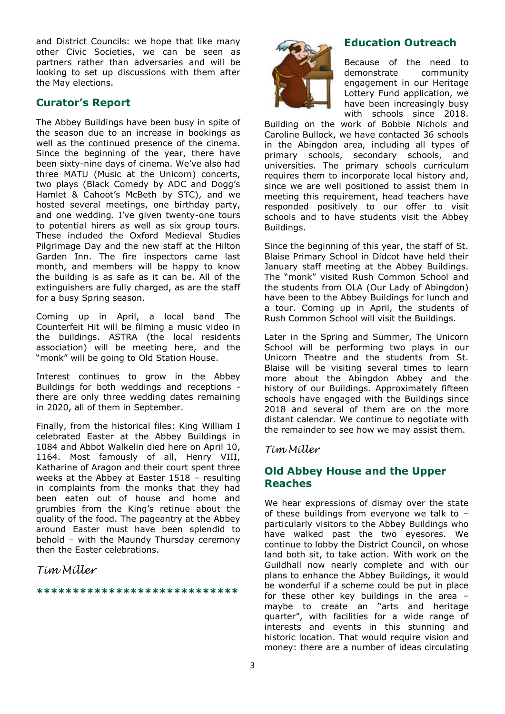and District Councils: we hope that like many other Civic Societies, we can be seen as partners rather than adversaries and will be looking to set up discussions with them after the May elections.

# **Curator's Report**

The Abbey Buildings have been busy in spite of the season due to an increase in bookings as well as the continued presence of the cinema. Since the beginning of the year, there have been sixty-nine days of cinema. We've also had three MATU (Music at the Unicorn) concerts, two plays (Black Comedy by ADC and Dogg's Hamlet & Cahoot's McBeth by STC), and we hosted several meetings, one birthday party, and one wedding. I've given twenty-one tours to potential hirers as well as six group tours. These included the Oxford Medieval Studies Pilgrimage Day and the new staff at the Hilton Garden Inn. The fire inspectors came last month, and members will be happy to know the building is as safe as it can be. All of the extinguishers are fully charged, as are the staff for a busy Spring season.

Coming up in April, a local band The Counterfeit Hit will be filming a music video in the buildings. ASTRA (the local residents association) will be meeting here, and the "monk" will be going to Old Station House.

Interest continues to grow in the Abbey Buildings for both weddings and receptions there are only three wedding dates remaining in 2020, all of them in September.

Finally, from the historical files: King William I celebrated Easter at the Abbey Buildings in 1084 and Abbot Walkelin died here on April 10, 1164. Most famously of all, Henry VIII, Katharine of Aragon and their court spent three weeks at the Abbey at Easter 1518 – resulting in complaints from the monks that they had been eaten out of house and home and grumbles from the King's retinue about the quality of the food. The pageantry at the Abbey around Easter must have been splendid to behold – with the Maundy Thursday ceremony then the Easter celebrations.

*Tim Miller*

### **\*\*\*\*\*\*\*\*\*\*\*\*\*\*\*\*\*\*\*\*\*\*\*\*\*\*\*\***



Because of the need to demonstrate community engagement in our Heritage Lottery Fund application, we have been increasingly busy with schools since 2018.

Building on the work of Bobbie Nichols and Caroline Bullock, we have contacted 36 schools in the Abingdon area, including all types of primary schools, secondary schools, and universities. The primary schools curriculum requires them to incorporate local history and, since we are well positioned to assist them in meeting this requirement, head teachers have responded positively to our offer to visit schools and to have students visit the Abbey Buildings.

Since the beginning of this year, the staff of St. Blaise Primary School in Didcot have held their January staff meeting at the Abbey Buildings. The "monk" visited Rush Common School and the students from OLA (Our Lady of Abingdon) have been to the Abbey Buildings for lunch and a tour. Coming up in April, the students of Rush Common School will visit the Buildings.

Later in the Spring and Summer, The Unicorn School will be performing two plays in our Unicorn Theatre and the students from St. Blaise will be visiting several times to learn more about the Abingdon Abbey and the history of our Buildings. Approximately fifteen schools have engaged with the Buildings since 2018 and several of them are on the more distant calendar. We continue to negotiate with the remainder to see how we may assist them.

### *Tim Miller*

# **Old Abbey House and the Upper Reaches**

We hear expressions of dismay over the state of these buildings from everyone we talk to – particularly visitors to the Abbey Buildings who have walked past the two eyesores. We continue to lobby the District Council, on whose land both sit, to take action. With work on the Guildhall now nearly complete and with our plans to enhance the Abbey Buildings, it would be wonderful if a scheme could be put in place for these other key buildings in the area – maybe to create an "arts and heritage quarter", with facilities for a wide range of interests and events in this stunning and historic location. That would require vision and money: there are a number of ideas circulating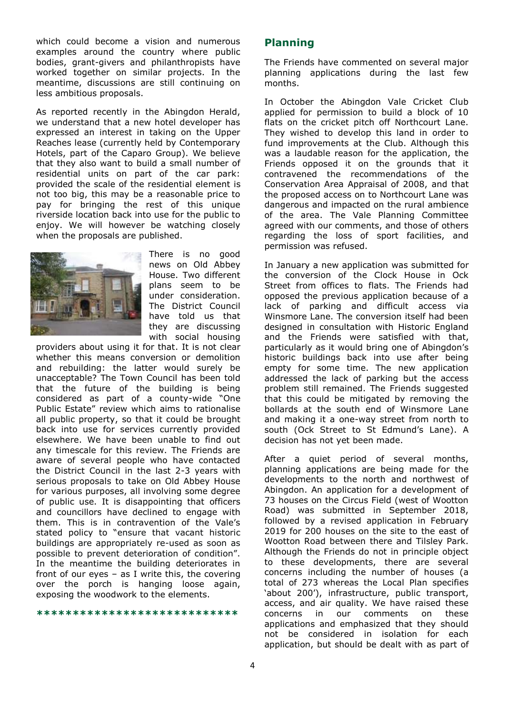which could become a vision and numerous examples around the country where public bodies, grant-givers and philanthropists have worked together on similar projects. In the meantime, discussions are still continuing on less ambitious proposals.

As reported recently in the Abingdon Herald, we understand that a new hotel developer has expressed an interest in taking on the Upper Reaches lease (currently held by Contemporary Hotels, part of the Caparo Group). We believe that they also want to build a small number of residential units on part of the car park: provided the scale of the residential element is not too big, this may be a reasonable price to pay for bringing the rest of this unique riverside location back into use for the public to enjoy. We will however be watching closely when the proposals are published.



There is no good news on Old Abbey House. Two different plans seem to be under consideration. The District Council have told us that they are discussing with social housing

providers about using it for that. It is not clear whether this means conversion or demolition and rebuilding: the latter would surely be unacceptable? The Town Council has been told that the future of the building is being considered as part of a county-wide "One Public Estate" review which aims to rationalise all public property, so that it could be brought back into use for services currently provided elsewhere. We have been unable to find out any timescale for this review. The Friends are aware of several people who have contacted the District Council in the last 2-3 years with serious proposals to take on Old Abbey House for various purposes, all involving some degree of public use. It is disappointing that officers and councillors have declined to engage with them. This is in contravention of the Vale's stated policy to "ensure that vacant historic buildings are appropriately re-used as soon as possible to prevent deterioration of condition". In the meantime the building deteriorates in front of our eyes – as I write this, the covering over the porch is hanging loose again, exposing the woodwork to the elements.

**\*\*\*\*\*\*\*\*\*\*\*\*\*\*\*\*\*\*\*\*\*\*\*\*\*\*\*\***

### **Planning**

The Friends have commented on several major planning applications during the last few months.

In October the Abingdon Vale Cricket Club applied for permission to build a block of 10 flats on the cricket pitch off Northcourt Lane. They wished to develop this land in order to fund improvements at the Club. Although this was a laudable reason for the application, the Friends opposed it on the grounds that it contravened the recommendations of the Conservation Area Appraisal of 2008, and that the proposed access on to Northcourt Lane was dangerous and impacted on the rural ambience of the area. The Vale Planning Committee agreed with our comments, and those of others regarding the loss of sport facilities, and permission was refused.

In January a new application was submitted for the conversion of the Clock House in Ock Street from offices to flats. The Friends had opposed the previous application because of a lack of parking and difficult access via Winsmore Lane. The conversion itself had been designed in consultation with Historic England and the Friends were satisfied with that, particularly as it would bring one of Abingdon's historic buildings back into use after being empty for some time. The new application addressed the lack of parking but the access problem still remained. The Friends suggested that this could be mitigated by removing the bollards at the south end of Winsmore Lane and making it a one-way street from north to south (Ock Street to St Edmund's Lane). A decision has not yet been made.

After a quiet period of several months, planning applications are being made for the developments to the north and northwest of Abingdon. An application for a development of 73 houses on the Circus Field (west of Wootton Road) was submitted in September 2018, followed by a revised application in February 2019 for 200 houses on the site to the east of Wootton Road between there and Tilsley Park. Although the Friends do not in principle object to these developments, there are several concerns including the number of houses (a total of 273 whereas the Local Plan specifies 'about 200'), infrastructure, public transport, access, and air quality. We have raised these concerns in our comments on these applications and emphasized that they should not be considered in isolation for each application, but should be dealt with as part of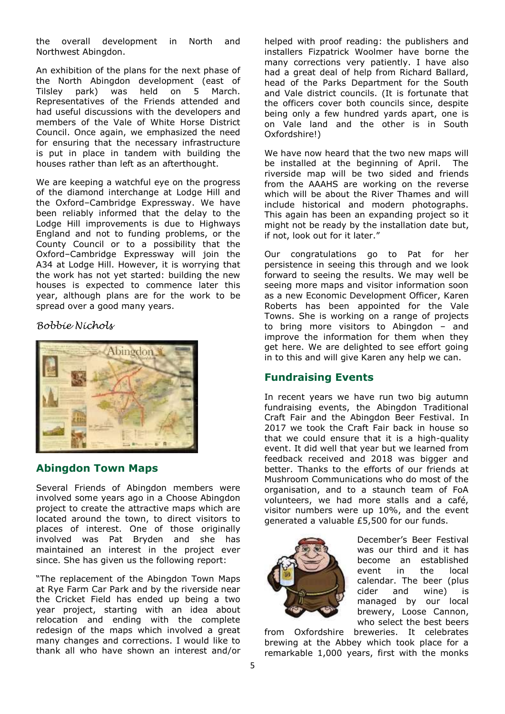the overall development in North and Northwest Abingdon.

An exhibition of the plans for the next phase of the North Abingdon development (east of Tilsley park) was held on 5 March. Representatives of the Friends attended and had useful discussions with the developers and members of the Vale of White Horse District Council. Once again, we emphasized the need for ensuring that the necessary infrastructure is put in place in tandem with building the houses rather than left as an afterthought.

We are keeping a watchful eye on the progress of the diamond interchange at Lodge Hill and the Oxford–Cambridge Expressway. We have been reliably informed that the delay to the Lodge Hill improvements is due to Highways England and not to funding problems, or the County Council or to a possibility that the Oxford–Cambridge Expressway will join the A34 at Lodge Hill. However, it is worrying that the work has not yet started: building the new houses is expected to commence later this year, although plans are for the work to be spread over a good many years.

*Bobbie Nichols*



### **Abingdon Town Maps**

Several Friends of Abingdon members were involved some years ago in a Choose Abingdon project to create the attractive maps which are located around the town, to direct visitors to places of interest. One of those originally involved was Pat Bryden and she has maintained an interest in the project ever since. She has given us the following report:

"The replacement of the Abingdon Town Maps at Rye Farm Car Park and by the riverside near the Cricket Field has ended up being a two year project, starting with an idea about relocation and ending with the complete redesign of the maps which involved a great many changes and corrections. I would like to thank all who have shown an interest and/or helped with proof reading: the publishers and installers Fizpatrick Woolmer have borne the many corrections very patiently. I have also had a great deal of help from Richard Ballard, head of the Parks Department for the South and Vale district councils. (It is fortunate that the officers cover both councils since, despite being only a few hundred yards apart, one is on Vale land and the other is in South Oxfordshire!)

We have now heard that the two new maps will be installed at the beginning of April. The riverside map will be two sided and friends from the AAAHS are working on the reverse which will be about the River Thames and will include historical and modern photographs. This again has been an expanding project so it might not be ready by the installation date but, if not, look out for it later."

Our congratulations go to Pat for her persistence in seeing this through and we look forward to seeing the results. We may well be seeing more maps and visitor information soon as a new Economic Development Officer, Karen Roberts has been appointed for the Vale Towns. She is working on a range of projects to bring more visitors to Abingdon – and improve the information for them when they get here. We are delighted to see effort going in to this and will give Karen any help we can.

# **Fundraising Events**

In recent years we have run two big autumn fundraising events, the Abingdon Traditional Craft Fair and the Abingdon Beer Festival. In 2017 we took the Craft Fair back in house so that we could ensure that it is a high-quality event. It did well that year but we learned from feedback received and 2018 was bigger and better. Thanks to the efforts of our friends at Mushroom Communications who do most of the organisation, and to a staunch team of FoA volunteers, we had more stalls and a café, visitor numbers were up 10%, and the event generated a valuable £5,500 for our funds.



December's Beer Festival was our third and it has become an established event in the local calendar. The beer (plus cider and wine) is managed by our local brewery, Loose Cannon, who select the best beers

from Oxfordshire breweries. It celebrates brewing at the Abbey which took place for a remarkable 1,000 years, first with the monks